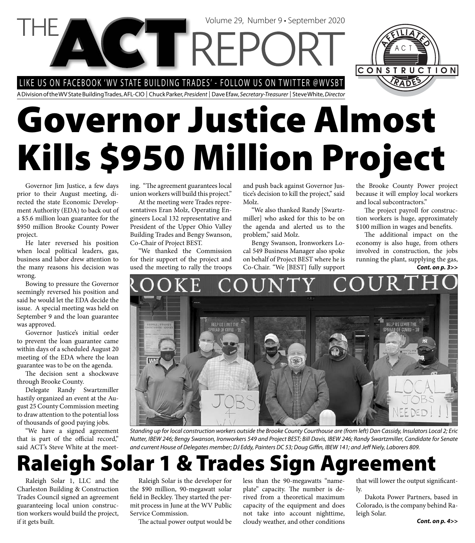LIKE US ON FACEBOOK 'WV STATE BUILDING TRADES' - FOLLOW US ON TWITTER @WVSBT

**CTTRFI** 

A Division of the WV State Building Trades, AFL-CIO | Chuck Parker, President | Dave Efaw, Secretary-Treasurer | Steve White, Director

# **Governor Justice Almost Kills \$950 Million Project**

Governor Jim Justice, a few days prior to their August meeting, directed the state Economic Development Authority (EDA) to back out of a \$5.6 million loan guarantee for the \$950 million Brooke County Power project.

He later reversed his position when local political leaders, gas, business and labor drew attention to the many reasons his decision was wrong.

Bowing to pressure the Governor seemingly reversed his position and said he would let the EDA decide the issue. A special meeting was held on September 9 and the loan guarantee was approved.

Governor Justice's initial order to prevent the loan guarantee came within days of a scheduled August 20 meeting of the EDA where the loan guarantee was to be on the agenda.

The decision sent a shockwave through Brooke County.

Delegate Randy Swartzmiller hastily organized an event at the August 25 County Commission meeting to draw attention to the potential loss of thousands of good paying jobs.

"We have a signed agreement that is part of the official record," said ACT's Steve White at the meeting. "The agreement guarantees local union workers will build this project."

At the meeting were Trades representatives Eran Molz, Operating Engineers Local 132 representative and President of the Upper Ohio Valley Building Trades and Bengy Swanson, Co-Chair of Project BEST.

"We thanked the Commission for their support of the project and used the meeting to rally the troops

and push back against Governor Justice's decision to kill the project," said Molz.

Volume 29, Number 9 • September 2020

"We also thanked Randy [Swartzmiller] who asked for this to be on the agenda and alerted us to the problem," said Molz.

Bengy Swanson, Ironworkers Local 549 Business Manager also spoke on behalf of Project BEST where he is Co-Chair. "We [BEST] fully support *Cont. on p. 3>>*

the Brooke County Power project because it will employ local workers and local subcontractors."

CONSTRUCTION

The project payroll for construction workers is huge, approximately \$100 million in wages and benefits.

The additional impact on the economy is also huge, from others involved in construction, the jobs running the plant, supplying the gas,

## HELP US LIMIT THE **HELP US LIMIT THE** PREAD OF COVID - 19



#### **Raleigh Solar 1 & Trades Sign Agreement**

Raleigh Solar 1, LLC and the Charleston Building & Construction Trades Council signed an agreement guaranteeing local union construction workers would build the project, if it gets built.

Raleigh Solar is the developer for the \$90 million, 90-megawatt solar field in Beckley. They started the permit process in June at the WV Public Service Commission.

The actual power output would be

less than the 90-megawatts "nameplate" capacity. The number is derived from a theoretical maximum capacity of the equipment and does not take into account nighttime, cloudy weather, and other conditions

that will lower the output significantly.

Dakota Power Partners, based in Colorado, is the company behind Raleigh Solar.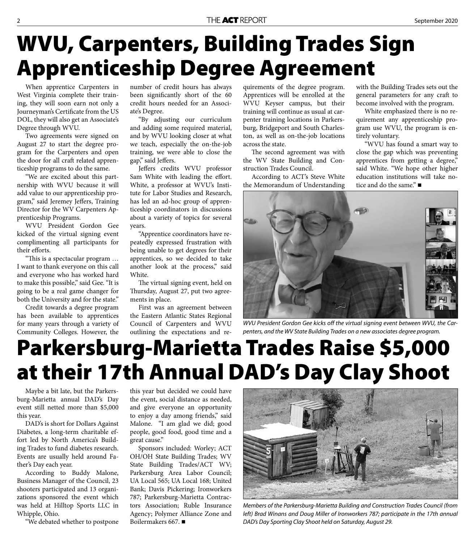### **WVU, Carpenters, Building Trades Sign Apprenticeship Degree Agreement**

When apprentice Carpenters in West Virginia complete their training, they will soon earn not only a Journeyman's Certificate from the US DOL, they will also get an Associate's Degree through WVU.

Two agreements were signed on August 27 to start the degree program for the Carpenters and open the door for all craft related apprenticeship programs to do the same.

"We are excited about this partnership with WVU because it will add value to our apprenticeship program," said Jeremey Jeffers, Training Director for the WV Carpenters Apprenticeship Programs.

WVU President Gordon Gee kicked of the virtual signing event complimenting all participants for their efforts.

"This is a spectacular program ... I want to thank everyone on this call and everyone who has worked hard to make this possible," said Gee. "It is going to be a real game changer for both the University and for the state."

Credit towards a degree program has been available to apprentices for many years through a variety of Community Colleges. However, the

number of credit hours has always been significantly short of the 60 credit hours needed for an Associate's Degree.

"By adjusting our curriculum and adding some required material, and by WVU looking closer at what we teach, especially the on-the-job training, we were able to close the gap," said Jeffers.

Jeffers credits WVU professor Sam White with leading the effort. White, a professor at WVU's Institute for Labor Studies and Research, has led an ad-hoc group of apprenticeship coordinators in discussions about a variety of topics for several years.

"Apprentice coordinators have repeatedly expressed frustration with being unable to get degrees for their apprentices, so we decided to take another look at the process," said White.

The virtual signing event, held on Thursday, August 27, put two agreements in place.

First was an agreement between the Eastern Atlantic States Regional Council of Carpenters and WVU outlining the expectations and requirements of the degree program. Apprentices will be enrolled at the WVU Keyser campus, but their training will continue as usual at carpenter training locations in Parkersburg, Bridgeport and South Charleston, as well as on-the-job locations across the state.

The second agreement was with the WV State Building and Construction Trades Council.

According to ACT's Steve White the Memorandum of Understanding

with the Building Trades sets out the general parameters for any craft to become involved with the program.

White emphasized there is no requirement any apprenticeship program use WVU, the program is entirely voluntary.

"WVU has found a smart way to close the gap which was preventing apprentices from getting a degree," said White. "We hope other higher education institutions will take notice and do the same." ■



WVU President Gordon Gee kicks off the virtual signing event between WVU, the Carpenters, and the WV State Building Trades on a new associates degree program.

### **Parkersburg-Marietta Trades Raise \$5,000 at their 17th Annual DAD's Day Clay Shoot**

Maybe a bit late, but the Parkersburg-Marietta annual DAD's Day event still netted more than \$5,000 this year.

DAD's is short for Dollars Against Diabetes, a long-term charitable effort led by North America's Building Trades to fund diabetes research. Events are usually held around Father's Day each year.

According to Buddy Malone, Business Manager of the Council, 23 shooters participated and 13 organizations sponsored the event which was held at Hilltop Sports LLC in Whipple, Ohio.

"We debated whether to postpone

this year but decided we could have the event, social distance as needed, and give everyone an opportunity to enjoy a day among friends," said Malone. "I am glad we did; good people, good food, good time and a great cause."

Sponsors included: Worley; ACT OH/OH State Building Trades; WV State Building Trades/ACT WV; Parkersburg Area Labor Council; UA Local 565; UA Local 168; United Bank; Davis Pickering; Ironworkers 787; Parkersburg-Marietta Contractors Association; Ruble Insurance Agency; Polymer Alliance Zone and Boilermakers 667.



Members of the Parkersburg-Marietta Building and Construction Trades Council (from left) Brad Winans and Doug Miller of Ironworkers 787; participate in the 17th annual DAD's Day Sporting Clay Shoot held on Saturday, August 29.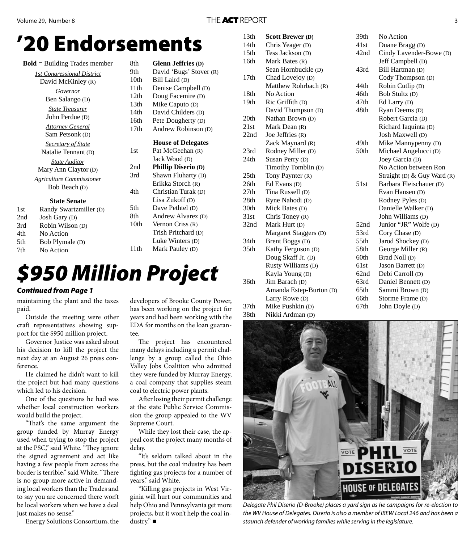#### **'20 Endorsements**

|     | $Bold = Building$ Trades member   | 8th              | <b>Glenn Jeffries (D)</b>  |
|-----|-----------------------------------|------------------|----------------------------|
|     | <b>1st Congressional District</b> | 9th              | David 'Bugs' Stover (R)    |
|     | David McKinley (R)                | 10th             | Bill Laird (D)             |
|     | Governor                          | 11 <sup>th</sup> | Denise Campbell (D)        |
|     | Ben Salango (D)                   | 12 <sub>th</sub> | Doug Facemire (D)          |
|     |                                   | 13th             | Mike Caputo (D)            |
|     | <b>State Treasurer</b>            | 14th             | David Childers (D)         |
|     | John Perdue (D)                   | 16th             | Pete Dougherty (D)         |
|     | <b>Attorney General</b>           | 17th             | Andrew Robinson (D)        |
|     | Sam Petsonk (D)                   |                  |                            |
|     | <b>Secretary of State</b>         |                  | <b>House of Delegates</b>  |
|     | Natalie Tennant (D)               | 1st              | Pat McGeehan (R)           |
|     | <b>State Auditor</b>              |                  | Jack Wood (D)              |
|     | Mary Ann Claytor (D)              | 2nd              | <b>Phillip Diserio (D)</b> |
|     | <b>Agriculture Commissioner</b>   | 3rd              | Shawn Fluharty (D)         |
|     | Bob Beach (D)                     |                  | Erikka Storch (R)          |
|     |                                   | 4th              | Christian Turak (D)        |
|     | <b>State Senate</b>               |                  | Lisa Zukoff (D)            |
| 1st | Randy Swartzmiller (D)            | 5th              | Dave Pethtel (D)           |
| 2nd | Josh Gary (D)                     | 8th              | Andrew Alvarez (D)         |
| 3rd | Robin Wilson (D)                  | 10 <sub>th</sub> | Vernon Criss $(R)$         |
| 4th | No Action                         |                  | Trish Pritchard (D)        |
| 5th | Bob Plymale (D)                   |                  | Luke Winters (D)           |
|     |                                   |                  |                            |

7th No Action

#### $0(D)$  $lers$  (D) erty (D)  $binson$  (D) **elegates**  $an(R)$  Jack Wood (D) erio (D) arty (D)  $ch(R)$  $\text{trak}$  (D)  $(D)$  $\cdot$ l $(D)$  $\text{area}$  (D)  $S(R)$ ard  $(D)$  $(S(D))$ 11th Mark Pauley (D)

#### *\$950 Million Project*

#### *Continued from Page 1*

maintaining the plant and the taxes paid.

Outside the meeting were other craft representatives showing support for the \$950 million project.

Governor Justice was asked about his decision to kill the project the next day at an August 26 press conference.

He claimed he didn't want to kill the project but had many questions which led to his decision.

One of the questions he had was whether local construction workers would build the project.

"That's the same argument the group funded by Murray Energy used when trying to stop the project at the PSC," said White. "They ignore the signed agreement and act like having a few people from across the border is terrible," said White. "There is no group more active in demanding local workers than the Trades and to say you are concerned there won't be local workers when we have a deal just makes no sense."

Energy Solutions Consortium, the

developers of Brooke County Power, has been working on the project for years and had been working with the EDA for months on the loan guarantee.

The project has encountered many delays including a permit challenge by a group called the Ohio Valley Jobs Coalition who admitted they were funded by Murray Energy, a coal company that supplies steam coal to electric power plants.

After losing their permit challenge at the state Public Service Commission the group appealed to the WV Supreme Court.

While they lost their case, the appeal cost the project many months of delay.

"It's seldom talked about in the press, but the coal industry has been fighting gas projects for a number of years," said White.

"Killing gas projects in West Virginia will hurt our communities and help Ohio and Pennsylvania get more projects, but it won't help the coal industry." ■

| 13th             | <b>Scott Brewer (D)</b> | 39th | No Action                   |
|------------------|-------------------------|------|-----------------------------|
| 14th             | Chris Yeager (D)        | 41st | Duane Bragg (D)             |
| 15 <sub>th</sub> | Tess Jackson (D)        | 42nd | Cindy Lavender-Bowe (D)     |
| 16th             | Mark Bates (R)          |      | Jeff Campbell (D)           |
|                  | Sean Hornbuckle (D)     | 43rd | Bill Hartman (D)            |
| 17 <sub>th</sub> | Chad Lovejoy (D)        |      | Cody Thompson (D)           |
|                  | Matthew Rohrbach (R)    | 44th | Robin Cutlip (D)            |
| 18 <sub>th</sub> | No Action               | 46th | Bob Stultz (D)              |
| 19th             | Ric Griffith (D)        | 47th | Ed Larry (D)                |
|                  | David Thompson (D)      | 48th | Ryan Deems (D)              |
| 20th             | Nathan Brown (D)        |      | Robert Garcia (D)           |
| 21st             | Mark Dean (R)           |      | Richard Iaquinta (D)        |
| 22nd             | Joe Jeffries $(R)$      |      | Josh Maxwell (D)            |
|                  | Zack Maynard (R)        | 49th | Mike Mannypenny (D)         |
| 23rd             | Rodney Miller (D)       | 50th | Michael Angelucci (D)       |
| 24th             | Susan Perry (D)         |      | Joey Garcia (D)             |
|                  | Timothy Tomblin (D)     |      | No Action between Ron       |
| 25th             | Tony Paynter (R)        |      | Straight (D) & Guy Ward (R) |
| 26th             | Ed Evans (D)            | 51st | Barbara Fleischauer (D)     |
| 27th             | Tina Russell (D)        |      | Evan Hansen (D)             |
| 28th             | Ryne Nahodi (D)         |      | Rodney Pyles (D)            |
| 30th             | Mick Bates (D)          |      | Danielle Walker (D)         |
| 31st             | Chris Toney $(R)$       |      | John Williams (D)           |
| 32nd             | Mark Hurt (D)           | 52nd | Junior "JR" Wolfe (D)       |
|                  | Margaret Staggers (D)   | 53rd | Cory Chase (D)              |
| 34th             | Brent Boggs (D)         | 55th | Jarod Shockey (D)           |
| 35 <sub>th</sub> | Kathy Ferguson (D)      | 58th | George Miller (R)           |
|                  | Doug Skaff Jr. (D)      | 60th | Brad Noll (D)               |
|                  | Rusty Williams (D)      | 61st | Jason Barrett (D)           |
|                  | Kayla Young (D)         | 62nd | Debi Carroll (D)            |
| 36th             | Jim Barach (D)          | 63rd | Daniel Bennett (D)          |
|                  | Amanda Estep-Burton (D) | 65th | Sammi Brown (D)             |
|                  | Larry Rowe (D)          | 66th | Storme Frame (D)            |
| 37 <sub>th</sub> | Mike Pushkin (D)        | 67th | John Doyle (D)              |
|                  |                         |      |                             |





Delegate Phil Diserio (D-Brooke) places a yard sign as he campaigns for re-election to the WV House of Delegates. Diserio is also a member of IBEW Local 246 and has been a staunch defender of working families while serving in the legislature.